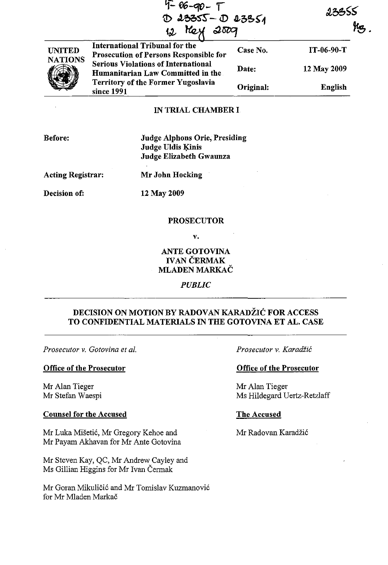|                                 | $4 - 06 - 90 - 17$<br>$D$ 23355 - $D$ 23351                                            |           | 23355        |                     |
|---------------------------------|----------------------------------------------------------------------------------------|-----------|--------------|---------------------|
|                                 | 2007<br>Mey<br>12                                                                      |           |              | $\mu_{\mathcal{B}}$ |
| <b>UNITED</b><br><b>NATIONS</b> | <b>International Tribunal for the</b><br><b>Prosecution of Persons Responsible for</b> | Case No.  | $IT-06-90-T$ |                     |
|                                 | <b>Serious Violations of International</b><br>Humanitarian Law Committed in the        | Date:     | 12 May 2009  |                     |
|                                 | Territory of the Former Yugoslavia<br>since 1991                                       | Original: | English      |                     |

# IN TRIAL CHAMBER I

Judge Alphons Orie, Presiding Judge Uldis Kinis Judge Elizabeth Gwaunza

Acting Registrar:

Mr John Hocking

Decision of:

12 May 2009

#### PROSECUTOR

v.

ANTE GOTOVINA IVAN ČERMAK MLADEN MARKAČ

*PUBLIC* 

# DECISION ON MOTION BY RADOVAN KARADŽIĆ FOR ACCESS TO CONFIDENTIAL MATERIALS IN THE GOTOVINA ET AL. CASE

*Prosecutor* v. *Gotovina et al.* 

#### Office of the Prosecutor

Mr Alan Tieger Mr Stefan Waespi

## Counsel for the Accused

Mr Luka Mišetić, Mr Gregory Kehoe and Mr Payam Akhavan for Mr Ante Gotovina

Mr Steven Kay, QC, Mr Andrew Cayley and Ms Gillian Higgins for Mr Ivan Čermak

Mr Goran Mikuličić and Mr Tomislav Kuzmanović for Mr Mladen Markač

*Prosecutor* v. Karadžić

#### Office of the Prosecutor

Mr Alan Tieger Ms Hildegard Uertz-Retzlaff

#### The Accused

Mr Radovan Karadžić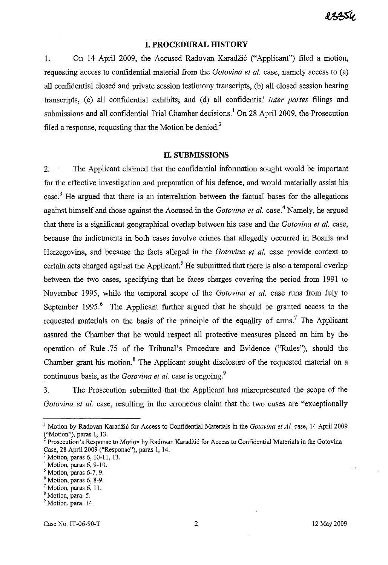I 2250

#### **I. PROCEDURAL mSTORY**

1. On 14 April 2009, the Accused Radovan Karadžić ("Applicant") filed a motion, requesting access to confidential material from the *Gotovina et al.* case, namely access to (a) all confidential closed and private session testimony transcripts, (b) all closed session hearing transcripts, (c) all confidential exhibits; and (d) all confidential *inter partes* filings and submissions and all confidential Trial Chamber decisions.<sup>1</sup> On 28 April 2009, the Prosecution filed a response, requesting that the Motion be denied.<sup>2</sup>

#### **II. SUBMISSIONS**

2. The Applicant claimed that the confidential information sought would be important for the effective investigation and preparation of his defence, and would materially assist his case.3 He argued that there is an interrelation between the factual bases for the allegations against himself and those against the Accused in the *Gotovina et al.* case. <sup>4</sup>Namely, he argued that there is a significant geographical overlap between his case and the *Gotovina et al.* case, because the indictments in both cases involve crimes that allegedly occurred in Bosnia and Herzegovina, and because the facts alleged in the *Gotovina et al.* case provide context to certain acts charged against the Applicant.<sup>5</sup> He submitted that there is also a temporal overlap between the two cases, specifying that he faces charges covering the period from 1991 to November 1995, while the temporal scope of the *Gotovina et al.* case runs from July to September 1995.<sup>6</sup> The Applicant further argued that he should be granted access to the requested materials on the basis of the principle of the equality of  $arms$ .<sup>7</sup> The Applicant assured the Chamber that he would respect all protective measures placed on him by the operation of Rule 75 of the Tribunal's Procedure and Evidence ("Rules"), should the Chamber grant his motion.<sup>8</sup> The Applicant sought disclosure of the requested material on a continuous basis, as the *Gotovina et al.* case is ongoing.<sup>9</sup>

3. The Prosecution submitted that the Applicant has misrepresented the scope of the *Gotovina et al.* case, resulting in the erroneous claim that the two cases are "exceptionally

<sup>&</sup>lt;sup>1</sup> Motion by Radovan Karadžić for Access to Confidential Materials in the *Gotovina et Al.* case, 14 April 2009 **(,IMotion"), paras l, 13.** 

<sup>&</sup>lt;sup>2</sup> Prosecution's Response to Motion by Radovan Karadžić for Access to Confidential Materials in the Gotovina Case, 28 April 2009 ("Response"), paras l, 14.

 $3$  Motion, paras 6, 10-11, 13.

<sup>4</sup> Motion, paras 6, 9-10.

 $<sup>5</sup>$  Motion, paras 6-7, 9.</sup>

<sup>6</sup> Motion, paras 6, 8-9.

<sup>7</sup> Motion, paras 6, ll.

<sup>8</sup> Motion, para. 5.

<sup>&</sup>lt;sup>9</sup> Motion, para. 14.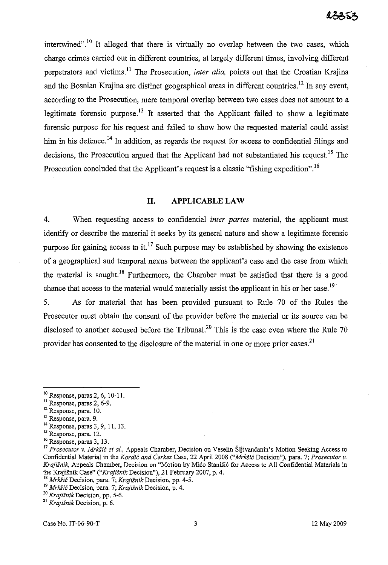intertwined".<sup>10</sup> It alleged that there is virtually no overlap between the two cases, which charge crimes carried out in different countries, at largely different times, involving different perpetrators and victims.<sup>11</sup> The Prosecution, *inter alia*, points out that the Croatian Krajina and the Bosnian Krajina are distinct geographical areas in different countries.<sup>12</sup> In any event, according to the Prosecution, mere temporal overlap between two cases does not amount to a legitimate forensic purpose.<sup>13</sup> It asserted that the Applicant failed to show a legitimate forensic purpose for his request and failed to show how the requested material could assist him in his defence.<sup>14</sup> In addition, as regards the request for access to confidential filings and decisions, the Prosecution argued that the Applicant had not substantiated his request.<sup>15</sup> The Prosecution concluded that the Applicant's request is a classic "fishing expedition".<sup>16</sup>

## **II. APPLICABLE LAW**

4. When requesting access to confidential *inter partes* material, the applicant must identify or describe the material it seeks by its general nature and show a legitimate forensic purpose for gaining access to it.<sup>17</sup> Such purpose may be established by showing the existence of a geographical and temporal nexus between the applicant's case and the case from which the material is sought.<sup>18</sup> Furthermore, the Chamber must be satisfied that there is a good chance that access to the material would materially assist the applicant in his or her case.<sup>19</sup>

5. As for material that has been provided pursuant to Rule 70 of the Rules the Prosecutor must obtain the consent of the provider before the material or its source can be disclosed to another accused before the Tribunal.<sup>20</sup> This is the case even where the Rule 70 provider has consented to the disclosure of the material in one or more prior cases.<sup>21</sup>

- 13 Response, para. 9.
- <sup>14</sup>Response, paras 3, 9, 11, 13.
- <sup>15</sup> Response, para. 12.
- $^{16}$  Response, paras 3, 13.

**<sup>18</sup>**Mrkšić **Decision, para. 7;** *Krajišnik* **Decision, pp. 4-5. <sup>19</sup>**Mrkšić **Decision, para. 7;** *Krajišnik* **Decision, p. 4.** 

Case No. IT-06-90-T 2 May 2009

<sup>10</sup> Response, paras 2, 6, 10-11.

<sup>&</sup>lt;sup>11</sup> Response, paras 2, 6-9.

<sup>12</sup> Response, para. 10.

<sup>17</sup>*Prosecutor* v. Mrkšić *et al.,* Appeals Chamber, Decision on Veselin Šljivančanin's Motion Seeking Access to Confidential Material in the Kordić *and* Čerkez Case, 22 April 2008 ("Mrkšić Decision"), para. 7; *Prosecutor* v. *Krajišnik,* Appeals Chamber, Decision on "Motion by Mićo Stanišić for Access to All Confidential Materials in the Krajišnik Case" *("Krajišnik* Decision"), 21 February 2007, p. 4.

<sup>20</sup>*Krajišnik* Decision, pp. 5-6.

**<sup>21</sup>***Krajišnik* **Decision, p. 6.**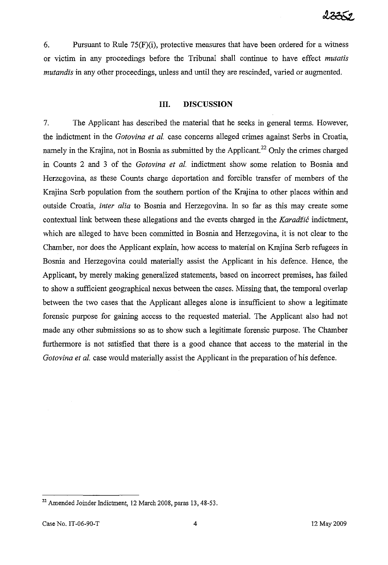6. Pursuant to Rule  $75(F)(i)$ , protective measures that have been ordered for a witness or victim in any proceedings before the Tribunal shall continue to have effect *mutatis mutandis* in any other proceedings, unless and until they are rescinded, varied or augmented.

## **III. DISCUSSION**

7. The Applicant has described the material that he seeks in general terms. However, the indictment in the *Gotovina et al.* case concerns alleged crimes against Serbs in Croatia, namely in the Krajina, not in Bosnia as submitted by the Applicant.<sup>22</sup> Only the crimes charged in Counts 2 and 3 of the *Gotovina et al.* indictment show some relation to Bosnia and Herzegovina, as these Counts charge deportation and forcible transfer of members of the Krajina Serb population from the southern portion of the Krajina to other places within and outside Croatia, *inter alia* to Bosnia and Herzegovina. In so far as this may create some contextual link between these allegations and the events charged in the Karadžić indictment, which are alleged to have been committed in Bosnia and Herzegovina, it is not clear to the Chamber, nor does the Applicant explain, how access to material on Krajina Serb refugees in Bosnia and Herzegovina could materially assist the Applicant in his defence. Hence, the Applicant, by merely making generalized statements, based on incorrect premises, has failed to show a sufficient geographical nexus between the cases. Missing that, the temporal overlap between the two cases that the Applicant alleges alone is insufficient to show a legitimate forensic purpose for gaining access to the requested material. The Applicant also had not made any other submissions so as to show such a legitimate forensic purpose. The Chamber furthermore is not satisfied that there is a good chance that access to the material in the *Gotovina et al.* case would materially assist the Applicant in the preparation of his defence.

<sup>&</sup>lt;sup>22</sup> Amended Joinder Indictment, 12 March 2008, paras 13, 48-53.